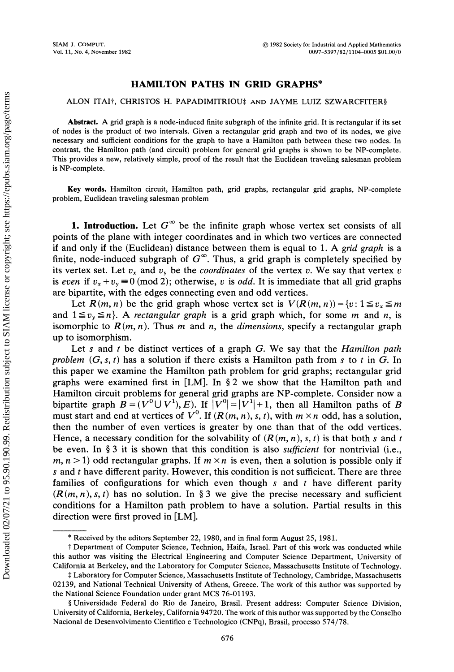## HAMILTON PATHS IN GRID GRAPHS\*

## ALON ITAI<sup>†</sup>, CHRISTOS H. PAPADIMITRIOU<sup>‡</sup> AND JAYME LUIZ SZWARCFITER§

Abstract. A grid graph is a node-induced finite subgraph of the infinite grid. It is rectangular if its set of nodes is the product of two intervals. Given a rectangular grid graph and two of its nodes, we give necessary and sufficient conditions for the graph to have a Hamilton path between these two nodes. In contrast, the Hamilton path (and circuit) problem for general grid graphs is shown to be NP-complete. This provides a new, relatively simple, proof of the result that the Euclidean traveling salesman problem is NP-complete.

Key words. Hamilton circuit, Hamilton path, grid graphs, rectangular grid graphs, NP-complete problem, Euclidean traveling salesman problem

**1. Introduction.** Let  $G^{\infty}$  be the infinite graph whose vertex set consists of all points of the plane with integer coordinates and in which two vertices are connected if and only if the (Euclidean) distance between them is equal to 1. A grid graph is a finite, node-induced subgraph of  $G^{\infty}$ . Thus, a grid graph is completely specified by its vertex set. Let  $v_x$  and  $v_y$  be the *coordinates* of the vertex v. We say that vertex v is even if  $v_x + v_y \equiv 0 \pmod{2}$ ; otherwise, v is *odd*. It is immediate that all grid graphs are bipartite, with the edges connecting even and odd vertices.

Let  $R(m, n)$  be the grid graph whose vertex set is  $V(R(m, n)) = \{v : 1 \le v_x \le m\}$ and  $1 \le v_y \le n$ . A rectangular graph is a grid graph which, for some m and n, is isomorphic to  $R(m, n)$ . Thus m and n, the dimensions, specify a rectangular graph up to isomorphism.

Let s and t be distinct vertices of a graph  $G$ . We say that the *Hamilton path* problem  $(G, s, t)$  has a solution if there exists a Hamilton path from s to t in G. In this paper we examine the Hamilton path problem for grid graphs; rectangular grid graphs were examined first in [LM]. In  $\S 2$  we show that the Hamilton path and Hamilton circuit problems for general grid graphs are NP-complete. Consider now a bipartite graph  $B=(V^0\cup V^1), E$ ). If  $|V^0|=|V^1|+1$ , then all Hamilton paths of B must start and end at vertices of  $V^0$ . If  $(R(m, n), s, t)$ , with  $m \times n$  odd, has a solution, then the number of even vertices is greater by one than that of the odd vertices. Hence, a necessary condition for the solvability of  $(R(m, n), s, t)$  is that both s and t be even. In  $\S 3$  it is shown that this condition is also *sufficient* for nontrivial (i.e., m,  $n > 1$ ) odd rectangular graphs. If  $m \times n$  is even, then a solution is possible only if s and  $t$  have different parity. However, this condition is not sufficient. There are three families of configurations for which even though  $s$  and  $t$  have different parity  $(R(m, n), s, t)$  has no solution. In § 3 we give the precise necessary and sufficient conditions for a Hamilton path problem to have a solution. Partial results in this direction were first proved in [LM].

<sup>\*</sup> Received by the editors September 22, 1980, and in final form August 25, 1981.

<sup>&</sup>quot; this author was visiting the Electrical Engineering and Computer Science Department, University of Department of Computer Science, Technion, Haifa, Israel. Part of this work was conducted while California at Berkeley, and the Laboratory for Computer Science, Massachusetts Institute of Technology.

<sup>\$</sup> Laboratory for Computer Science, Massachusetts Institute of Technology, Cambridge, Massachusetts 02139, and National Technical University of Athens, Greece. The work of this author was supported by the National Science Foundation under grant MCS 76-01193.

Universidade Federal do Rio de Janeiro, Brasil. Present address: Computer Science Division, University of California, Berkeley, California 94720. The work of this author was supported by the Conselho Nacional de Desenvolvimento Cientifico e Technologico (CNPq), Brasil, processo 574/78.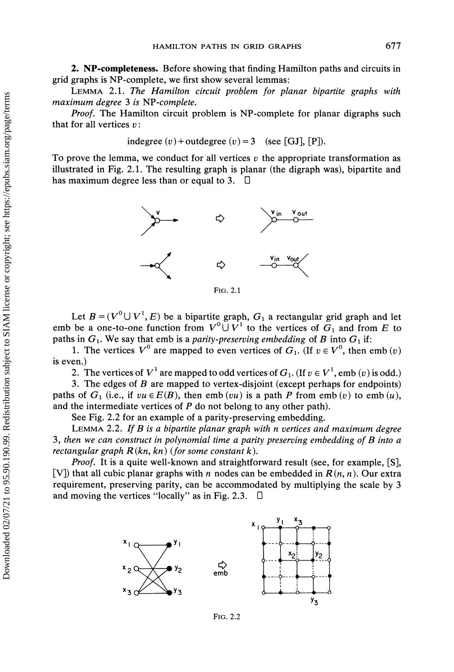2. NP-completeness. Before showing that finding Hamilton paths and circuits in grid graphs is NP-complete, we first show several lemmas:

LEMMA 2.1. The Hamilton circuit problem for planar bipartite graphs with maximum degree 3 is NP-complete.

Proof. The Hamilton circuit problem is NP-complete for planar digraphs such that for all vertices  $v$ :

indegree  $(v)$  + outdegree  $(v)$  = 3 (see [GJ], [P]).

To prove the lemma, we conduct for all vertices  $v$  the appropriate transformation as illustrated in Fig. 2.1. The resulting graph is planar (the digraph was), bipartite and has maximum degree less than or equal to 3.  $\Box$ 



FIG. 2.1

Let  $B = (V^0 \cup V^1, E)$  be a bipartite graph,  $G_1$  a rectangular grid graph and let emb be a one-to-one function from  $V^0 \cup V^1$  to the vertices of  $G_1$  and from E to paths in  $G_1$ . We say that emb is a parity-preserving embedding of B into  $G_1$  if:

1. The vertices  $V^0$  are mapped to even vertices of  $G_1$ . (If  $v \in V^0$ , then emb  $(v)$ ) is even.)

2. The vertices of  $V^1$  are mapped to odd vertices of  $G_1$ . (If  $v \in V^1$ , emb (v) is odd.)

3. The edges of B are mapped to vertex-disjoint (except perhaps for endpoints) paths of  $G_1$  (i.e., if  $vu \in E(B)$ , then emb (vu) is a path P from emb (v) to emb (u), and the intermediate vertices of  $P$  do not belong to any other path).

See Fig. 2.2 for an example of a parity-preserving embedding.

LEMMA 2.2. If  $B$  is a bipartite planar graph with n vertices and maximum degree 3, then we can construct in polynomial time a parity preserving embedding of  $B$  into a rectangular graph  $R(kn, kn)$  (for some constant k).

*Proof.* It is a quite well-known and straightforward result (see, for example, [S], [V]) that all cubic planar graphs with n nodes can be embedded in  $R(n, n)$ . Our extra requirement, preserving parity, can be accommodated by multiplying the scale by 3 and moving the vertices "locally" as in Fig. 2.3.  $\Box$ 



FIG. 2.2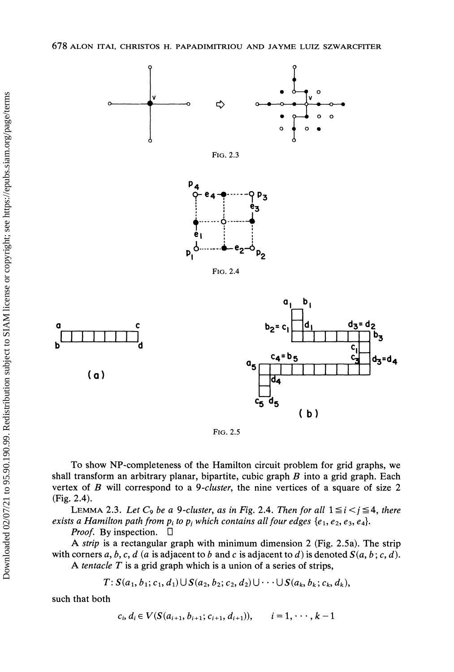

FIG. 2.5

To show NP-completeness of the Hamilton circuit problem for grid graphs, we shall transform an arbitrary planar, bipartite, cubic graph  $B$  into a grid graph. Each vertex of  $B$  will correspond to a 9-cluster, the nine vertices of a square of size  $2$ (Fig. 2.4).

LEMMA 2.3. Let  $C_9$  be a 9-cluster, as in Fig. 2.4. Then for all  $1 \le i < j \le 4$ , there exists a Hamilton path from  $p_i$  to  $p_j$  which contains all four edges  $\{e_1, e_2, e_3, e_4\}$ .

*Proof.* By inspection.  $\Box$ 

A strip is <sup>a</sup> rectangular graph with minimum dimension <sup>2</sup> (Fig. 2.5a). The strip with corners a, b, c, d (a is adjacent to b and c is adjacent to d) is denoted  $S(a, b; c, d)$ .

A tentacle  $T$  is a grid graph which is a union of a series of strips,

 $T: S(a_1, b_1; c_1, d_1) \cup S(a_2, b_2; c_2, d_2) \cup \cdots \cup S(a_k, b_k; c_k, d_k),$ 

such that both

$$
c_i, d_i \in V(S(a_{i+1}, b_{i+1}; c_{i+1}, d_{i+1})), \qquad i = 1, \cdots, k-1
$$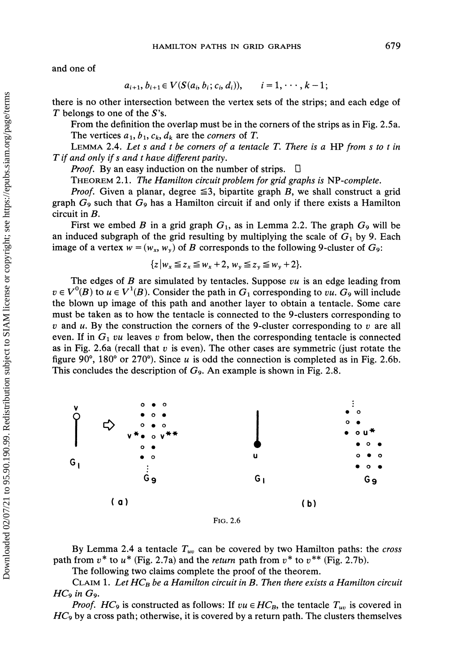and one of

$$
a_{i+1}, b_{i+1} \in V(S(a_i, b_i; c_i, d_i)), \quad i = 1, \cdots, k-1;
$$

there is no other intersection between the vertex sets of the strips; and each edge of  $T$  belongs to one of the  $S$ 's.

From the definition the overlap must be in the corners of the strips as in Fig. 2.5a. The vertices  $a_1, b_1, c_k, d_k$  are the *corners* of T.

LEMMA 2.4. Let s and t be corners of a tentacle  $T$ . There is a HP from s to t in  $T$  if and only if s and t have different parity.

Proof. By an easy induction on the number of strips.  $\Box$ 

THEOREM 2.1. The Hamilton circuit problem for grid graphs is NP-complete.

*Proof.* Given a planar, degree  $\leq 3$ , bipartite graph B, we shall construct a grid graph  $G_9$  such that  $G_9$  has a Hamilton circuit if and only if there exists a Hamilton circuit in B.

First we embed B in a grid graph  $G_1$ , as in Lemma 2.2. The graph  $G_9$  will be an induced subgraph of the grid resulting by multiplying the scale of  $G_1$  by 9. Each image of a vertex  $w = (w_x, w_y)$  of B corresponds to the following 9-cluster of  $G_9$ :

$$
\{z \big| w_x \leq z_x \leq w_x + 2, w_y \leq z_y \leq w_y + 2 \}.
$$

The edges of  $B$  are simulated by tentacles. Suppose  $vu$  is an edge leading from  $v \in V^0(B)$  to  $u \in V^1(B)$ . Consider the path in  $G_1$  corresponding to vu.  $G_9$  will include the blown up image of this path and another layer to obtain a tentacle. Some care must be taken as to how the tentacle is connected to the 9-clusters corresponding to v and u. By the construction the corners of the 9-cluster corresponding to v are all even. If in  $G_1$  vu leaves v from below, then the corresponding tentacle is connected as in Fig. 2.6a (recall that  $v$  is even). The other cases are symmetric (just rotate the figure 90°, 180° or 270°). Since u is odd the connection is completed as in Fig. 2.6b. This concludes the description of  $G_9$ . An example is shown in Fig. 2.8.



By Lemma 2.4 a tentacle  $T_{uv}$  can be covered by two Hamilton paths: the cross path from  $v^*$  to  $u^*$  (Fig. 2.7a) and the return path from  $v^*$  to  $v^{**}$  (Fig. 2.7b).

The following two claims complete the proof of the theorem.

CLAIM 1. Let  $HC_B$  be a Hamilton circuit in B. Then there exists a Hamilton circuit  $HC_9$  in  $G_9$ .

*Proof.* HC<sub>9</sub> is constructed as follows: If  $vu \in HC_B$ , the tentacle  $T_{uv}$  is covered in  $HC_9$  by a cross path; otherwise, it is covered by a return path. The clusters themselves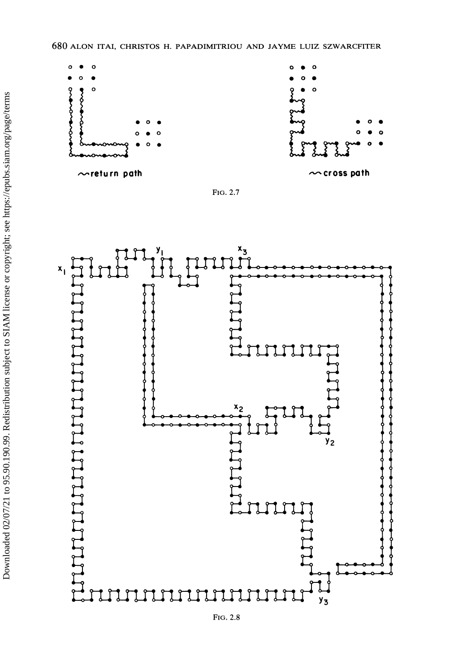





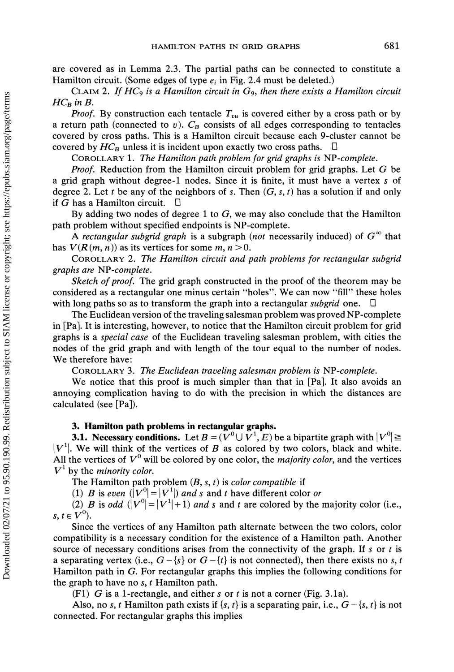are covered as in Lemma 2.3. The partial paths can be connected to constitute <sup>a</sup> Hamilton circuit. (Some edges of type  $e_i$  in Fig. 2.4 must be deleted.)

CLAIM 2. If  $HC_9$  is a Hamilton circuit in  $G_9$ , then there exists a Hamilton circuit  $HC_B$  in B.

*Proof.* By construction each tentacle  $T_{vu}$  is covered either by a cross path or by a return path (connected to v).  $C_B$  consists of all edges corresponding to tentacles covered by cross paths. This is a Hamilton circuit because each 9-cluster cannot be covered by  $HC_B$  unless it is incident upon exactly two cross paths. - 0

COROLLARY 1. The Hamilton path problem for grid graphs is NP-complete.

Proof. Reduction from the Hamilton circuit problem for grid graphs. Let  $G$  be a grid graph without degree-1 nodes. Since it is finite, it must have a vertex <sup>s</sup> of degree 2. Let t be any of the neighbors of s. Then  $(G, s, t)$  has a solution if and only if G has a Hamilton circuit.  $\Box$ 

By adding two nodes of degree 1 to  $G$ , we may also conclude that the Hamilton path problem without specified endpoints is NP-complete.

A rectangular subgrid graph is a subgraph (not necessarily induced) of  $G^{\infty}$  that has  $V(R(m, n))$  as its vertices for some m,  $n > 0$ .

COROLLARY 2. The Hamilton circuit and path problems for rectangular subgrid graphs are NP-complete.

Sketch of proof. The grid graph constructed in the proof of the theorem may be considered as <sup>a</sup> rectangular one minus certain "holes". We can now "fill" these holes with long paths so as to transform the graph into a rectangular *subgrid* one.  $\Box$ 

The Euclidean version of the traveling salesman problem was proved NP-complete in [Pa]. It is interesting, however, to notice that the Hamilton circuit problem for grid graphs is a special case of the Euclidean traveling salesman problem, with cities the nodes of the grid graph and with length of the tour equal to the number of nodes. We therefore have:

COROLLARY 3. The Euclidean traveling salesman problem is NP-complete.

We notice that this proof is much simpler than that in [Pa]. It also avoids an annoying complication having to do with the precision in which the distances are calculated (see [Pa]).

## 3. Hamilton path problems in rectangular graphs.

**3.1. Necessary conditions.** Let  $B = (\overline{V}^0 \cup \overline{V}^1, E)$  be a bipartite graph with  $|V^0| \ge$  $|V^1|$ . We will think of the vertices of B as colored by two colors, black and white. All the vertices of  $V^0$  will be colored by one color, the *majority color*, and the vertices  $V^1$  by the *minority color*.

The Hamilton path problem  $(B, s, t)$  is color compatible if

(1) B is even  $\left(\left|V^0\right| = |V^1|\right)$  and s and t have different color or

(2) B is odd  $(|V^0| = |V^1| + 1)$  and s and t are colored by the majority color (i.e.,  $s, t \in V^0$ ).

Since the vertices of any Hamilton path alternate between the two colors, color compatibility is a necessary condition for the existence of a Hamilton path. Another source of necessary conditions arises from the connectivity of the graph. If s or t is a separating vertex (i.e.,  $G - \{s\}$  or  $G - \{t\}$  is not connected), then there exists no s, t Hamilton path in G. For rectangular graphs this implies the following conditions for the graph to have no  $s$ ,  $t$  Hamilton path.

(F1) G is a 1-rectangle, and either s or t is not a corner (Fig. 3.1a).

Also, no s, t Hamilton path exists if  ${s, t}$  is a separating pair, i.e.,  $G - {s, t}$  is not connected. For rectangular graphs this implies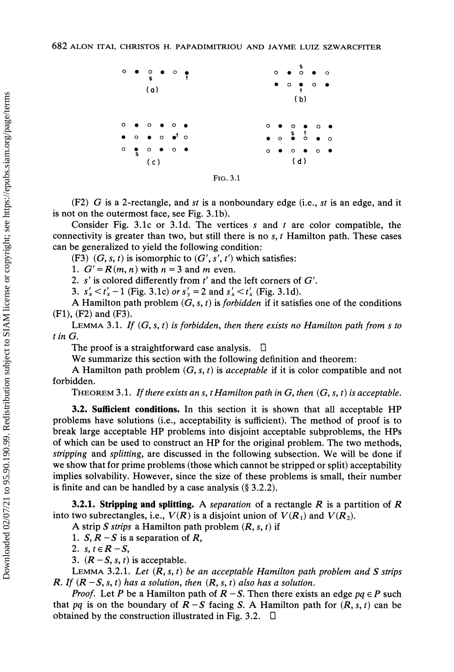

(F2) G is a 2-rectangle, and st is a nonboundary edge (i.e., st is an edge, and it is not on the outermost face, see Fig. 3.1b).

Consider Fig. 3.1c or 3.1d. The vertices s and t are color compatible, the connectivity is greater than two, but still there is no  $s, t$  Hamilton path. These cases can be generalized to yield the following condition:

(F3)  $(G, s, t)$  is isomorphic to  $(G', s', t')$  which satisfies:

1.  $G' = R(m, n)$  with  $n = 3$  and m even.

2.  $s'$  is colored differently from  $t'$  and the left corners of  $G'$ .

3.  $s'_x < t'_x - 1$  (Fig. 3.1c) or  $s'_y = 2$  and  $s'_x < t'_x$  (Fig. 3.1d).

A Hamilton path problem  $(G, s, t)$  is *forbidden* if it satisfies one of the conditions (F1), (F2) and (F3).

LEMMA 3.1. If  $(G, s, t)$  is forbidden, then there exists no Hamilton path from s to t in G.

The proof is a straightforward case analysis.  $\Box$ 

We summarize this section with the following definition and theorem:

A Hamilton path problem  $(G, s, t)$  is *acceptable* if it is color compatible and not forbidden.

THEOREM 3.1. If there exists an s, t Hamilton path in G, then  $(G, s, t)$  is acceptable.

3.2. Sufficient conditions. In this section it is shown that all acceptable HP problems have solutions (i.e., acceptability is sufficient). The method of proof is to break large acceptable HP problems into disjoint acceptable subproblems, the HPs of which can be used to construct an HP for the original problem. The two methods, *stripping* and *splitting*, are discussed in the following subsection. We will be done if we show that for prime problems (those which cannot be stripped or split) acceptability implies solvability. However, since the size of these problems is small, their number is finite and can be handled by a case analysis  $(\S 3.2.2)$ .

**3.2.1. Stripping and splitting.** A separation of a rectangle R is a partition of R into two subrectangles, i.e.,  $V(R)$  is a disjoint union of  $V(R_1)$  and  $V(R_2)$ .

A strip S strips a Hamilton path problem  $(R, s, t)$  if

1.  $S, R - S$  is a separation of R,

2. s,  $t \in R - S$ ,

3.  $(R - S, s, t)$  is acceptable.

LEMMA 3.2.1. Let  $(R, s, t)$  be an acceptable Hamilton path problem and S strips R. If  $(R - S, s, t)$  has a solution, then  $(R, s, t)$  also has a solution.

*Proof.* Let P be a Hamilton path of  $R - S$ . Then there exists an edge  $pq \in P$  such that pq is on the boundary of  $R-S$  facing S. A Hamilton path for  $(R, s, t)$  can be obtained by the construction illustrated in Fig. 3.2.  $\Box$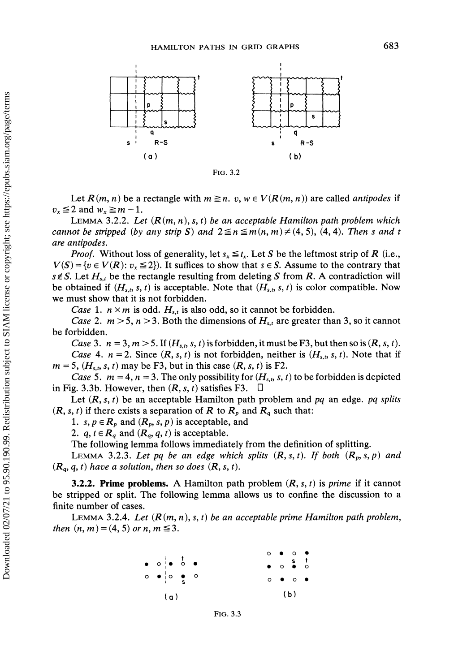

FIG. 3.2

Let  $R(m, n)$  be a rectangle with  $m \geq n$ .  $v, w \in V(R(m, n))$  are called *antipodes* if  $v_r \leq 2$  and  $w_r \geq m-1$ .

LEMMA 3.2.2. Let  $(R(m, n), s, t)$  be an acceptable Hamilton path problem which cannot be stripped (by any strip S) and  $2 \leq n \leq m(n, m) \neq (4, 5)$ , (4, 4). Then s and t are antipodes.

*Proof.* Without loss of generality, let  $s_x \leq t_x$ . Let S be the leftmost strip of R (i.e.,  $V(S) = \{v \in V(R): v_x \leq 2\}$ . It suffices to show that  $s \in S$ . Assume to the contrary that  $s \notin S$ . Let  $H_{s,t}$  be the rectangle resulting from deleting S from R. A contradiction will be obtained if  $(H_{s,t}, s, t)$  is acceptable. Note that  $(H_{s,t}, s, t)$  is color compatible. Now we must show that it is not forbidden.

Case 1.  $n \times m$  is odd.  $H_{s,t}$  is also odd, so it cannot be forbidden.

*Case* 2.  $m > 5$ ,  $n > 3$ . Both the dimensions of  $H<sub>s,t</sub>$  are greater than 3, so it cannot be forbidden.

Case 3.  $n = 3, m > 5$ . If  $(H<sub>s,t</sub>, s, t)$  is forbidden, it must be F3, but then so is  $(R, s, t)$ . Case 4.  $n = 2$ . Since  $(R, s, t)$  is not forbidden, neither is  $(H_{s,t}, s, t)$ . Note that if  $m = 5$ ,  $(H<sub>s,t</sub>, s, t)$  may be F3, but in this case  $(R, s, t)$  is F2.

Case 5.  $m = 4$ ,  $n = 3$ . The only possibility for  $(H<sub>s,t</sub>, s, t)$  to be forbidden is depicted in Fig. 3.3b. However, then  $(R, s, t)$  satisfies F3.  $\Box$ 

Let  $(R, s, t)$  be an acceptable Hamilton path problem and pq an edge. pq splits  $(R, s, t)$  if there exists a separation of R to  $R_p$  and  $R_q$  such that:

1. s,  $p \in R_p$  and  $(R_p, s, p)$  is acceptable, and

2.  $q, t \in R_q$  and  $(R_q, q, t)$  is acceptable.

The following lemma follows immediately from the definition of splitting.

LEMMA 3.2.3. Let pq be an edge which splits  $(R, s, t)$ . If both  $(R_p, s, p)$  and  $(R_q, q, t)$  have a solution, then so does  $(R, s, t)$ .

**3.2.2. Prime problems.** A Hamilton path problem  $(R, s, t)$  is *prime* if it cannot be stripped or split. The following lemma allows us to confine the discussion to a finite number of cases.

LEMMA 3.2.4. Let  $(R(m, n), s, t)$  be an acceptable prime Hamilton path problem, then  $(n, m) = (4, 5)$  or n,  $m \le 3$ .

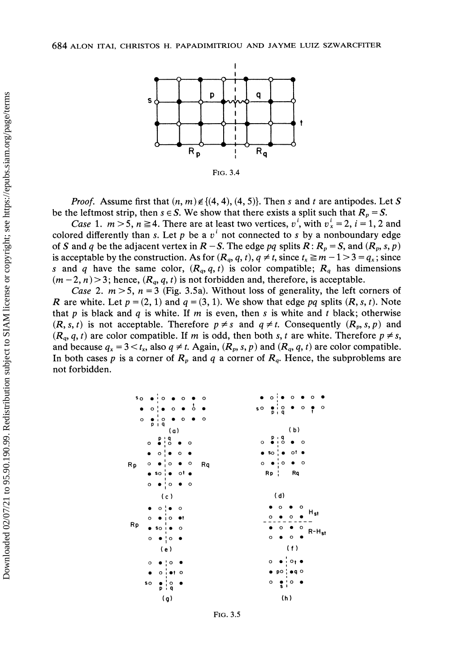

*Proof.* Assume first that  $(n, m) \notin \{(4, 4), (4, 5)\}\)$ . Then s and t are antipodes. Let S be the leftmost strip, then  $s \in S$ . We show that there exists a split such that  $R_p = S$ .

*Case* 1.  $m > 5$ ,  $n \ge 4$ . There are at least two vertices,  $v^i$ , with  $v^i = 2$ ,  $i = 1, 2$  and colored differently than s. Let p be a  $v^i$  not connected to s by a nonboundary edge of S and q be the adjacent vertex in  $R - S$ . The edge pq splits  $R: R_p = S$ , and  $(R_p, s, p)$ is acceptable by the construction. As for  $(R_q, q, t)$ ,  $q \neq t$ , since  $t_x \geq m - 1 > 3 = q_x$ ; since s and q have the same color,  $(R_q, q, t)$  is color compatible;  $R_q$  has dimensions  $(m-2, n)$  > 3; hence,  $(R_q, q, t)$  is not forbidden and, therefore, is acceptable.

Case 2.  $m > 5$ ,  $n = 3$  (Fig. 3.5a). Without loss of generality, the left corners of R are white. Let  $p = (2, 1)$  and  $q = (3, 1)$ . We show that edge pq splits  $(R, s, t)$ . Note that p is black and q is white. If m is even, then s is white and t black; otherwise  $(R, s, t)$  is not acceptable. Therefore  $p \neq s$  and  $q \neq t$ . Consequently  $(R_p, s, p)$  and  $(R_q, q, t)$  are color compatible. If m is odd, then both s, t are white. Therefore  $p \neq s$ , and because  $q_x = 3 < t_x$ , also  $q \neq t$ . Again,  $(R_p, s, p)$  and  $(R_q, q, t)$  are color compatible. In both cases p is a corner of  $R_p$  and q a corner of  $R_q$ . Hence, the subproblems are not forbidden.

| s <sub>o</sub> | $\bullet$ $\mathbin{\overset{\centerdot}{\mathstrut}}\circ$<br>$\bullet$ 0 | $\circ$ | $\mathbf{o}$<br>$\circ$<br>$\circ$                    |
|----------------|----------------------------------------------------------------------------|---------|-------------------------------------------------------|
| $\bullet$      | $\circ$ $\bullet$ $\circ$ $\bullet$<br>$\circ$ !                           | 50      | $\frac{1}{p+q}$ . $\circ$ .<br>$\circ$                |
| $\circ$        | $\bullet$ ; $\circ$ $\bullet$ $\circ$<br>piq                               | $\circ$ |                                                       |
|                | (a)                                                                        |         | (b)                                                   |
|                | $\circ$ $\bullet$ $\circ$<br>$\bullet$ o                                   | $\circ$ | $\begin{array}{ccc}\n0.9 & 0 \\ 0.0 & 0\n\end{array}$ |
|                | $\circ$ $\bullet$ $\circ$<br>$\bullet$                                     |         | $\bullet$ so $\bullet$ of $\bullet$                   |
| Rp             | $0 \bullet 0 \bullet 0$                                                    | Rq      | $\circ$ $\bullet$ $\circ$ $\circ$ $\circ$             |
|                | $\bullet$ so $\mathsf{i}\bullet\hspace{0.1cm}$ of $\bullet$                |         | $RP$ $Rq$                                             |
|                | $\circ \bullet \circ \bullet \circ$                                        |         |                                                       |
|                | (c)                                                                        |         | (d)                                                   |
|                | $0$ $\bullet$ 0                                                            |         | $\mathbf{o}$<br>$\circ$                               |
| Rp             | $0 - 10 - 1$                                                               |         | H <sub>st</sub><br>o<br>o                             |
|                | $\bullet$ So i $\bullet$ O                                                 |         | $\circ$<br>o<br>$R-H_{st}$                            |
|                | $0 \bullet '0$                                                             |         | $\circ$<br>$\circ$                                    |
|                | (e)                                                                        |         | (f)                                                   |
|                | $\bullet$ $\circ$ $\bullet$<br>$\circ$                                     |         | $\bullet$ $\circ$ $\bullet$<br>$\circ$                |
|                | oioto<br>$\bullet$                                                         |         | $\bullet$ po $\bullet$ q $\circ$                      |
|                | \$O<br>$\overset{\circ}{\mathsf{q}}$<br>Þ<br>$\mathbf{L}$                  |         | о<br>o<br>$\frac{1}{3}$                               |
|                | (a)                                                                        |         | (h)                                                   |

FIG. 3.5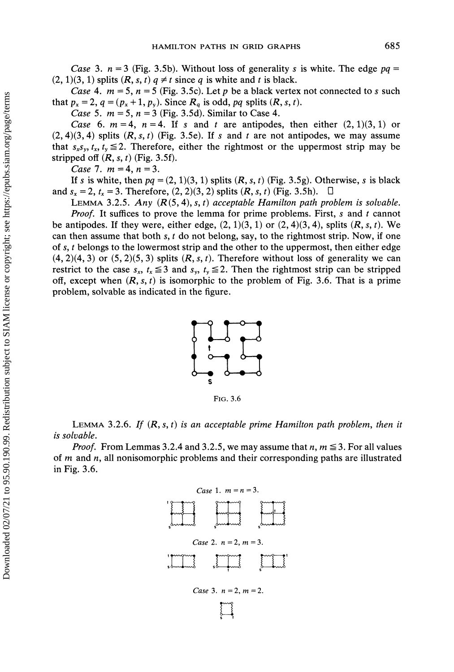Case 3.  $n = 3$  (Fig. 3.5b). Without loss of generality s is white. The edge  $pq =$  $(2, 1)(3, 1)$  splits  $(R, s, t)$   $q \neq t$  since q is white and t is black.

Case 4.  $m = 5$ ,  $n = 5$  (Fig. 3.5c). Let p be a black vertex not connected to s such that  $p_x = 2$ ,  $q = (p_x + 1, p_y)$ . Since  $R_q$  is odd, pq splits  $(R, s, t)$ .

*Case* 5.  $m = 5$ ,  $n = 3$  (Fig. 3.5d). Similar to Case 4.

Case 6.  $m = 4$ ,  $n = 4$ . If s and t are antipodes, then either  $(2, 1)(3, 1)$  or  $(2, 4)(3, 4)$  splits  $(R, s, t)$  (Fig. 3.5e). If s and t are not antipodes, we may assume that  $s_x s_y$ ,  $t_x$ ,  $t_y \le 2$ . Therefore, either the rightmost or the uppermost strip may be stripped off  $(R, s, t)$  (Fig. 3.5f).

Case 7.  $m = 4$ ,  $n = 3$ .

If s is white, then  $pq = (2, 1)(3, 1)$  splits  $(R, s, t)$  (Fig. 3.5g). Otherwise, s is black and  $s_x = 2$ ,  $t_x = 3$ . Therefore,  $(2, 2)(3, 2)$  splits  $(R, s, t)$  (Fig. 3.5h).  $\Box$ 

LEMMA 3.2.5. Any  $(R(5, 4), s, t)$  acceptable Hamilton path problem is solvable.

*Proof.* It suffices to prove the lemma for prime problems. First, s and t cannot be antipodes. If they were, either edge,  $(2, 1)(3, 1)$  or  $(2, 4)(3, 4)$ , splits  $(R, s, t)$ . We can then assume that both s,  $t$  do not belong, say, to the rightmost strip. Now, if one of s, t belongs to the lowermost strip and the other to the uppermost, then either edge  $(4, 2)(4, 3)$  or  $(5, 2)(5, 3)$  splits  $(R, s, t)$ . Therefore without loss of generality we can restrict to the case  $s_x$ ,  $t_x \le 3$  and  $s_y$ ,  $t_y \le 2$ . Then the rightmost strip can be stripped off, except when  $(R, s, t)$  is isomorphic to the problem of Fig. 3.6. That is a prime problem, solvable as indicated in the figure.



FIG. 3.6

LEMMA 3.2.6. If  $(R, s, t)$  is an acceptable prime Hamilton path problem, then it is solvable.

*Proof.* From Lemmas 3.2.4 and 3.2.5, we may assume that  $n, m \le 3$ . For all values of  $m$  and  $n$ , all nonisomorphic problems and their corresponding paths are illustrated in Fig. 3.6.